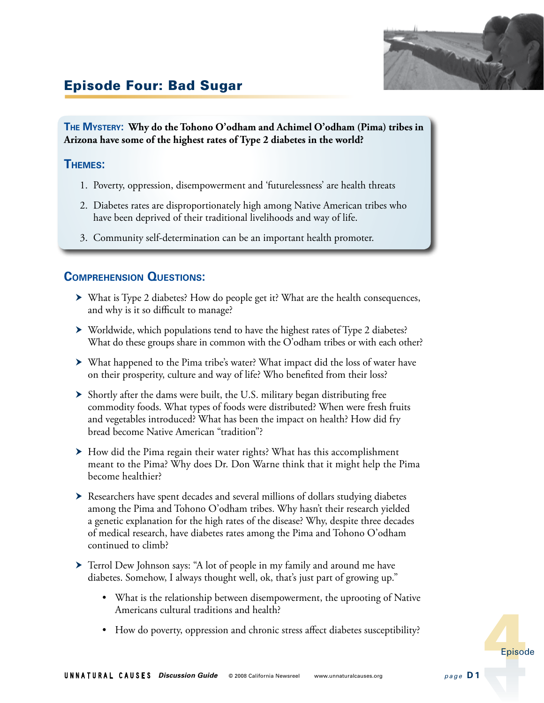

# Episode Four: Bad Sugar

**The Mystery: Why do the Tohono O'odham and Achimel O'odham (Pima) tribes in Arizona have some of the highest rates of Type 2 diabetes in the world?**

#### **Themes:**

- 1. Poverty, oppression, disempowerment and 'futurelessness' are health threats
- 2. Diabetes rates are disproportionately high among Native American tribes who have been deprived of their traditional livelihoods and way of life.
- 3. Community self-determination can be an important health promoter.

#### **Comprehension Questions:**

- What is Type 2 diabetes? How do people get it? What are the health consequences, and why is it so difficult to manage?
- Worldwide, which populations tend to have the highest rates of Type 2 diabetes? What do these groups share in common with the O'odham tribes or with each other?
- What happened to the Pima tribe's water? What impact did the loss of water have on their prosperity, culture and way of life? Who benefited from their loss?
- Shortly after the dams were built, the U.S. military began distributing free commodity foods. What types of foods were distributed? When were fresh fruits and vegetables introduced? What has been the impact on health? How did fry bread become Native American "tradition"?
- ▶ How did the Pima regain their water rights? What has this accomplishment meant to the Pima? Why does Dr. Don Warne think that it might help the Pima become healthier?
- Researchers have spent decades and several millions of dollars studying diabetes among the Pima and Tohono O'odham tribes. Why hasn't their research yielded a genetic explanation for the high rates of the disease? Why, despite three decades of medical research, have diabetes rates among the Pima and Tohono O'odham continued to climb?
- Terrol Dew Johnson says: "A lot of people in my family and around me have diabetes. Somehow, I always thought well, ok, that's just part of growing up."
	- What is the relationship between disempowerment, the uprooting of Native Americans cultural traditions and health?
	- How do poverty, oppression and chronic stress affect diabetes susceptibility?

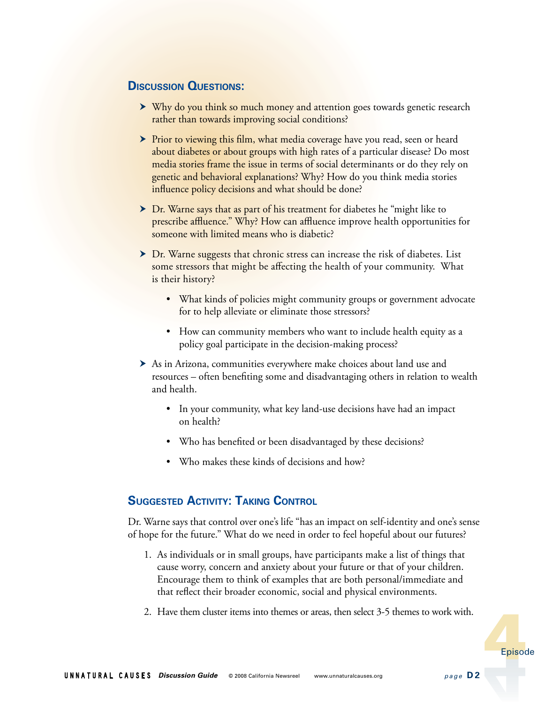#### **Discussion Questions:**

- ▶ Why do you think so much money and attention goes towards genetic research rather than towards improving social conditions?
- Prior to viewing this film, what media coverage have you read, seen or heard about diabetes or about groups with high rates of a particular disease? Do most media stories frame the issue in terms of social determinants or do they rely on genetic and behavioral explanations? Why? How do you think media stories influence policy decisions and what should be done?
- ▶ Dr. Warne says that as part of his treatment for diabetes he "might like to prescribe affluence." Why? How can affluence improve health opportunities for someone with limited means who is diabetic?
- Dr. Warne suggests that chronic stress can increase the risk of diabetes. List some stressors that might be affecting the health of your community. What is their history?
	- What kinds of policies might community groups or government advocate for to help alleviate or eliminate those stressors?
	- How can community members who want to include health equity as a policy goal participate in the decision-making process?
- As in Arizona, communities everywhere make choices about land use and resources – often benefiting some and disadvantaging others in relation to wealth and health.
	- In your community, what key land-use decisions have had an impact on health?
	- Who has benefited or been disadvantaged by these decisions?
	- Who makes these kinds of decisions and how?

## **Suggested Activity: Taking Control**

Dr. Warne says that control over one's life "has an impact on self-identity and one's sense of hope for the future." What do we need in order to feel hopeful about our futures?

- 1. As individuals or in small groups, have participants make a list of things that cause worry, concern and anxiety about your future or that of your children. Encourage them to think of examples that are both personal/immediate and that reflect their broader economic, social and physical environments.
- 2. Have them cluster items into themes or areas, then select 3-5 themes to work with.

Episode Episode Episode Episode Episode Episode Episode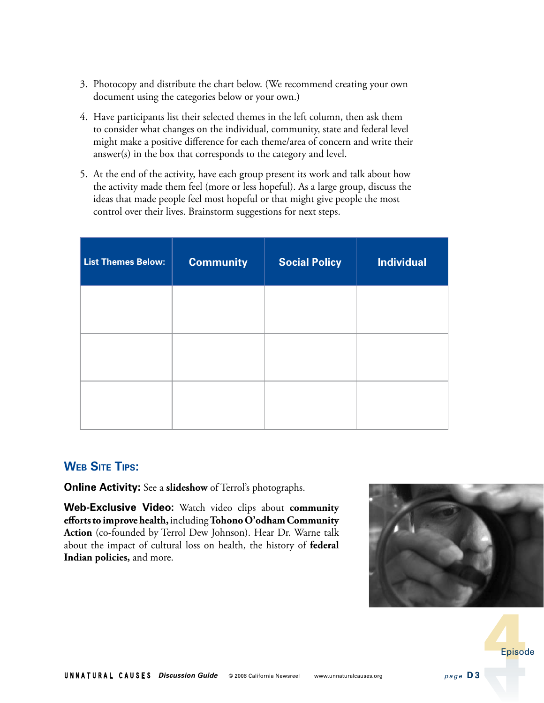- 3. Photocopy and distribute the chart below. (We recommend creating your own document using the categories below or your own.)
- 4. Have participants list their selected themes in the left column, then ask them to consider what changes on the individual, community, state and federal level might make a positive difference for each theme/area of concern and write their answer(s) in the box that corresponds to the category and level.
- 5. At the end of the activity, have each group present its work and talk about how the activity made them feel (more or less hopeful). As a large group, discuss the ideas that made people feel most hopeful or that might give people the most control over their lives. Brainstorm suggestions for next steps.

| <b>List Themes Below:</b> | <b>Community</b> | <b>Social Policy</b> | <b>Individual</b> |
|---------------------------|------------------|----------------------|-------------------|
|                           |                  |                      |                   |
|                           |                  |                      |                   |
|                           |                  |                      |                   |

## **Web Site Tips:**

**Online Activity:** See a **slideshow** of Terrol's photographs.

**Web-Exclusive Video:** Watch video clips about **community efforts to improve health,** including **Tohono O'odham Community Action** (co-founded by Terrol Dew Johnson). Hear Dr. Warne talk about the impact of cultural loss on health, the history of **federal Indian policies,** and more.





Episode Episode Episode Episode Episode Episode Episode